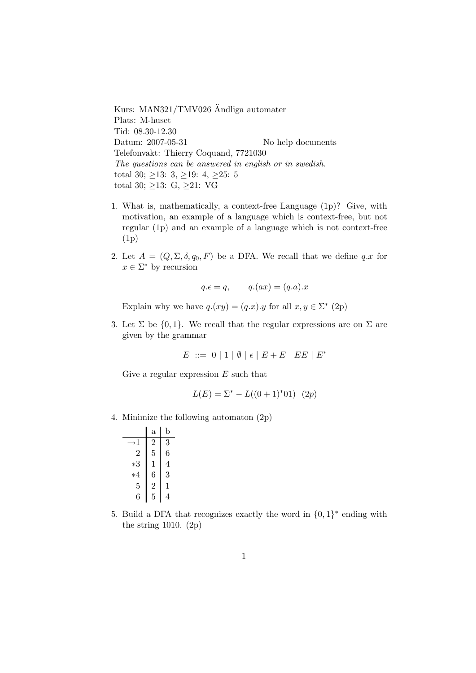Kurs: MAN321/TMV026 Ändliga automater Plats: M-huset Tid: 08.30-12.30 Datum: 2007-05-31 No help documents Telefonvakt: Thierry Coquand, 7721030 The questions can be answered in english or in swedish. total 30;  $\geq$ 13: 3,  $\geq$ 19: 4,  $\geq$ 25: 5 total 30;  $\geq$ 13: G,  $\geq$ 21: VG

- 1. What is, mathematically, a context-free Language (1p)? Give, with motivation, an example of a language which is context-free, but not regular (1p) and an example of a language which is not context-free (1p)
- 2. Let  $A = (Q, \Sigma, \delta, q_0, F)$  be a DFA. We recall that we define qx for  $x \in \Sigma^*$  by recursion

$$
q.\epsilon = q, \qquad q.(ax) = (q.a).x
$$

Explain why we have  $q.(xy) = (q.x).y$  for all  $x, y \in \Sigma^*$  (2p)

3. Let  $\Sigma$  be  $\{0,1\}$ . We recall that the regular expressions are on  $\Sigma$  are given by the grammar

$$
E\ ::=\ 0\ \vert\ 1\ \vert\ \emptyset\ \vert\ \epsilon\ \vert\ E+E\ \vert\ EE\ \vert\ E^*
$$

Give a regular expression  $E$  such that

$$
L(E) = \Sigma^* - L((0+1)^*01) \quad (2p)
$$

4. Minimize the following automaton (2p)

|                | $\mathbf{a}$   | b |
|----------------|----------------|---|
| →1             | $\overline{2}$ | 3 |
| 2              | 5              | 6 |
| $*3$           | 1              | 4 |
| $*4$           | 6              | 3 |
| 5              | $\overline{2}$ | 1 |
| $\ddot{\rm e}$ | 5              |   |

5. Build a DFA that recognizes exactly the word in  $\{0,1\}^*$  ending with the string 1010. (2p)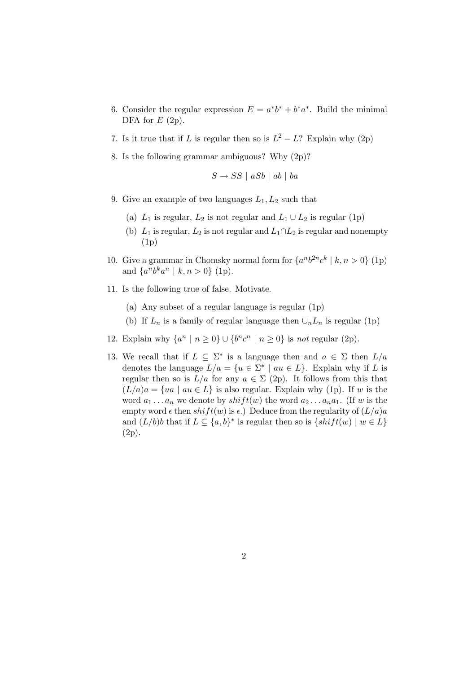- 6. Consider the regular expression  $E = a^*b^* + b^*a^*$ . Build the minimal DFA for  $E(2p)$ .
- 7. Is it true that if L is regular then so is  $L^2 L$ ? Explain why (2p)
- 8. Is the following grammar ambiguous? Why (2p)?

$$
S \to SS \mid aSb \mid ab \mid ba
$$

- 9. Give an example of two languages  $L_1, L_2$  such that
	- (a)  $L_1$  is regular,  $L_2$  is not regular and  $L_1 \cup L_2$  is regular (1p)
	- (b)  $L_1$  is regular,  $L_2$  is not regular and  $L_1 \cap L_2$  is regular and nonempty (1p)
- 10. Give a grammar in Chomsky normal form for  $\{a^n b^{2n} c^k \mid k, n > 0\}$  (1p) and  $\{a^n b^k a^n \mid k, n > 0\}$  (1p).
- 11. Is the following true of false. Motivate.
	- (a) Any subset of a regular language is regular (1p)
	- (b) If  $L_n$  is a family of regular language then  $\cup_n L_n$  is regular (1p)
- 12. Explain why  $\{a^n \mid n \geq 0\} \cup \{b^n c^n \mid n \geq 0\}$  is not regular (2p).
- 13. We recall that if  $L \subseteq \Sigma^*$  is a language then and  $a \in \Sigma$  then  $L/a$ denotes the language  $L/a = \{u \in \Sigma^* \mid au \in L\}$ . Explain why if L is regular then so is  $L/a$  for any  $a \in \Sigma$  (2p). It follows from this that  $(L/a)a = \{ua \mid au \in L\}$  is also regular. Explain why (1p). If w is the word  $a_1 \ldots a_n$  we denote by  $shift(w)$  the word  $a_2 \ldots a_n a_1$ . (If w is the empty word  $\epsilon$  then  $shift(w)$  is  $\epsilon$ .) Deduce from the regularity of  $(L/a)a$ and  $(L/b)b$  that if  $L \subseteq \{a, b\}^*$  is regular then so is  $\{shift(w) \mid w \in L\}$ (2p).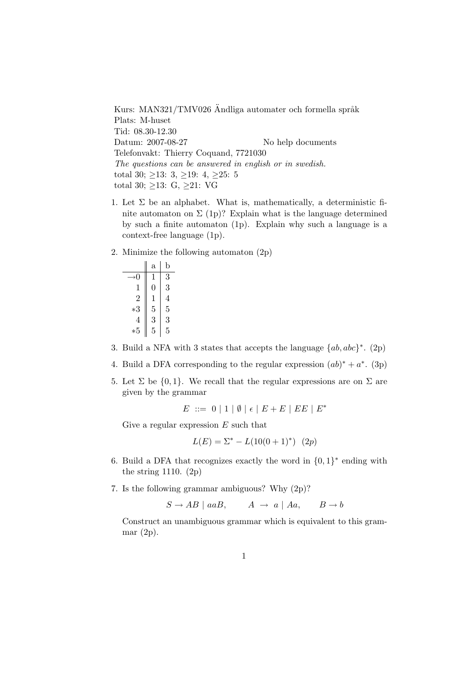Kurs: MAN321/TMV026 Ändliga automater och formella språk Plats: M-huset Tid: 08.30-12.30 Datum: 2007-08-27 No help documents Telefonvakt: Thierry Coquand, 7721030 The questions can be answered in english or in swedish. total 30;  $\geq$ 13: 3,  $\geq$ 19: 4,  $\geq$ 25: 5 total 30;  $\geq$ 13: G,  $\geq$ 21: VG

- 1. Let  $\Sigma$  be an alphabet. What is, mathematically, a deterministic finite automaton on  $\Sigma$  (1p)? Explain what is the language determined by such a finite automaton (1p). Explain why such a language is a context-free language (1p).
- 2. Minimize the following automaton (2p)

|      | $^{\rm a}$ | b |
|------|------------|---|
| →()  | 1          | 3 |
| 1    | 0          | 3 |
| 2    | 1          | 4 |
| $*3$ | 5          | 5 |
| 4    | 3          | 3 |
| *5   | 5          | 5 |

- 3. Build a NFA with 3 states that accepts the language  $\{ab, abc\}^*$ . (2p)
- 4. Build a DFA corresponding to the regular expression  $(ab)^* + a^*$ . (3p)
- 5. Let  $\Sigma$  be  $\{0,1\}$ . We recall that the regular expressions are on  $\Sigma$  are given by the grammar

 $E := 0 | 1 | \emptyset | \epsilon | E + E | EE | E^*$ 

Give a regular expression  $E$  such that

$$
L(E) = \Sigma^* - L(10(0+1)^*)
$$
 (2p)

- 6. Build a DFA that recognizes exactly the word in  $\{0,1\}^*$  ending with the string 1110. (2p)
- 7. Is the following grammar ambiguous? Why (2p)?

 $S \to AB \mid aaB,$   $A \to a \mid Aa,$   $B \to b$ 

Construct an unambiguous grammar which is equivalent to this grammar (2p).